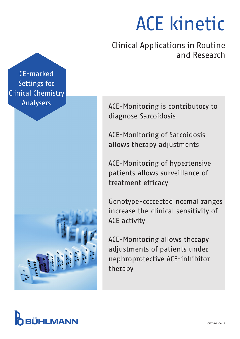# ACE kinetic

Clinical Applications in Routine and Research

CE-marked Settings for Clinical Chemistry Analysers



ACE-Monitoring is contributory to diagnose Sarcoidosis

ACE-Monitoring of Sarcoidosis allows therapy adjustments

ACE-Monitoring of hypertensive patients allows surveillance of treatment efficacy

Genotype-corrected normal ranges increase the clinical sensitivity of ACE activity

ACE-Monitoring allows therapy adjustments of patients under nephroprotective ACE-inhibitor therapy

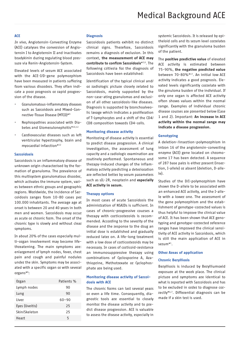#### **ACE**

*In vivo*, Angiotensin-Converting Enzyme (ACE) catalyses the conversion of Angiotensin I to Angiotensin II and inactivates bradykinin during regulating blood pressure via Renin-Angiotensin-System.

Elevated levels of serum ACE associated with the ACE-I/D-gene polymorphism have been measured in patients suffering from various disorders. They often indicate a poor prognosis or rapid progression of the disease.

- Granulomatous-inflammatory diseases such as Sarcoidosis and Mixed-Connective-Tissue Disease (MTCD)\*9
- Nephropathies associated with Diabetes and Glomerulonephritis\*10,12
- Cardiovascular diseases such as left ventricular hypertrophy, brain and myocardial infarction\*12

#### Sarcoidosis

Sarcoidosis is an inflammatory disease of unknown origin characterised by the formation of granuloma. The prevalence of this multisystem granulomatous disorder, which activates the immune system, varies between ethnic groups and geographic regions. Worldwide, the incidence of Sarcoidosis ranges from 10-80 cases per 100.000 inhabitants. The average age at onset is between 20 and 40 years in both men and women. Sarcoidosis may occur as acute or chronic form. The onset of the chronic type is slowly and without clear symptoms.

In about 20% of the cases especially multi-organ involvement may become lifethreatening. The main symptoms are: enlargement of lymph nodes, fever, chest pain and cough and painful nodules under the skin. Symptoms may be associated with a specific organ or with several organs\*6:

| Organ          | Patients % |
|----------------|------------|
| Lymph nodes    | 90         |
| Lung           | 90         |
| Liver          | $60 - 90$  |
| Eyes (Uveitis) | 25         |
| Skin/Skeleton  | 25         |
| Heart          | 5          |

#### **Diagnosis**

Sarcoidosis patients exhibit no distinct clinical signs. Therefore, Sarcoidosis remains a diagnosis of exclusion. In this context, the measurement of ACE may contribute to confirm Sarcoidosis\*3,6. The following critieria for the diagnosis of Sarcoidosis have been established:

Identification of the typical clinical and/ or radiologic picture closely related to Sarcoidosis, mainly supported by the non-case-ating granulomas and exclusion of all other sarcoidosis-like diseases. Diagnosis is supported by bronchoalveolic lavage which indicates a proliferation of T-Lymphocytes and a shift of the CD4/ CD8 composition towards CD4-cells.

#### Monitoring disease activity

Monitoring of disease activity is essential to predict disease progression. A clinical investigation, the assessment of lung capacity and a radiologic examination are routinely performed. Spontaneous and therapy-induced changes of the inflammatory activity predicting a deterioration are reflected better by serum parameters such as sIL-2R, neopterin and especially ACE activity in serum.

#### Therapy options

In most cases of acute Sarcoidosis the administration of NSAIDs is sufficient. In cases of chronic-progressive courses a therapy with corticosteroids is recommended. According to the severity of the disease and the response to the drug an initial dose is established and gradually reduced later on. A life-long treatment with a low dose of corticosteroids may be necessary. In cases of corticoid-resistance an immunosuppressive therapy using combinations of Cyclosporine A, Azathioprine, Methotrexate or Cyclophosphate are being used.

#### Monitoring disease activity of Sarcoidosis with ACE

The chronic forms can last several years or even a life time. Consequently, diagnostic tools are essential to closely monitor the disease activity and to predict disease progression. ACE is valuable to assess the disease activity, especially in

systemic Sarcoidosis. It is released by epitheloid cells and its serum level correlates significantly with the granuloma burden of the patient.

The **positive predictive value** of elevated ACE activity is estimated between 75-90%, the negative predicted value between 70-80%\*17. An initial low ACE activity indicates a good prognosis. Elevated levels significantly correlate with the grnuloma burden of the individual. If only one organ is affected ACE activity often shows values within the normal range. Examples of individual chronic disease courses are presented below (Case 1 and 2). Important: An increase in ACE activity within the normal range may indicate a disease progression.

#### Genotyping

A deletion-/insertion-polymorphism in intron 16 of the angiotensin-converting enzyme (ACE) gene located on chromosome 17 has been detected. A sequence of 287 base pairs is either present (insertion, I-allele) or absent (deletion, D-allele).

Studies of the D/I-polymorphism have shown the D-allele to be associated with an enhanced ACE activity, and the I-allele with a lower one. The assessment of the gene polymorphism and the establishment of genotype-corrected values is thus helpful to improve the clinical value of ACE. It has been shown that ACE genotyping and genotype-corrected reference ranges have improved the clinical sensitivity of ACE activity in Sarcoidosis, which is still the main application of ACE in serum\*1.

#### Other Areas of application

#### Chronic Berylliosis

Berylliosis is induced by Berylliumoxid exposure at the work place. The clinical picture and symptoms are identical to what is reported with Sarcoidosis and has to be excluded in order to diagnose correctly\*6,7. Differential diagnosis can be made if a skin test is used.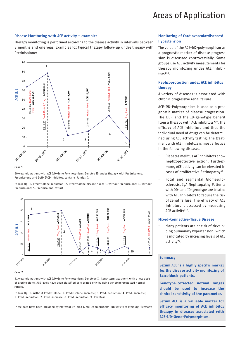#### Disease Monitoring with ACE activity – examples

Therapy monitoring is performed according to the disease activity in intervalls between 3 months and one year. Examples for typical therapy follow-up under therapy with Prednisolone:



#### Case 1

60-year old patient with ACE I/D-Gene Polymorphism: Genotyp ID under therapy with Prednisolone. Prednisolone and Delix (ACE-inhibitor, contains Ramipril).

Follow-Up: 1. Prednisolone-reduction; 2. Prednisolone discontinued; 3. without Prednisolone; 4. without Prednisolone; 5. Prednisolone-restart



#### Case 2

41-year old patient with ACE I/D-Gene Polymorphism: Genotype II. Long-term treatment with a low dosis of prednisolone. ACE levels have been classified as elevated only by using genotype-corrected normal ranges.

Follow-Up: 1. Without Prednisolone; 2. Prednisolone-increase; 3. Pred.-reduction; 4. Pred.-increase; 5. Pred.-reduction; 7. Pred.-increase; 8. Pred.-reduction; 9. low Dose

These data have been provided by Professor Dr. med J. Müller-Quernheim, University of Freiburg, Germany

#### Monitoring of Cardiovasculardiseases/ Hypertension

The value of the ACE-I/D-polymorphism as a prognostic marker of disease progression is discussed controversially. Some groups use ACE activity measurements for therapy monitoring under ACE inhibitors\*10.

### Nephroprotection under ACE inhibitor therapy

A variety of diseases is associated with chronic progressive renal failure.

ACE-I/D-Polymorphism is used as a prognostic marker of disease progression. The DD- and the ID-genotype benefit from a therapy with ACE inhibitors\*10. The efficacy of ACE inhibitors and thus the individual need of drugs can be determined using ACE activity testing. The treatment with ACE inhibitors is most effective in the following diseases.

- Diabetes mellitus ACE inhibitors show nephroprotective action. Furthermore, ACE activity can be elevated in cases of proliferative Retinopathy\*8.
- Focal and segmental Glomerulosclerosis, IgA Nephropathy Patients with DD- and ID-genotype are treated with ACE inhibitors to reduce the risk of renal failure. The efficacy of ACE inhibtors is assessed by measuring ACE activity\*10.

#### Mixed-Connective-Tissue Disease

• Many patients are at risk of developing pulmonary hypertension, which is indicated by incresing levels of ACE activity\*9.

#### **Summary**

Serum ACE is a highly specific marker for the disease activity monitoring of Sarcoidosis patients.

Genotype-corrected normal ranges should be used to increase the clinical sensitivity of the parameter.

Serum ACE is a valuable marker for efficacy monitoring of ACE inhibitor therapy in diseases associated with ACE-I/D-Gene-Polymorphism.